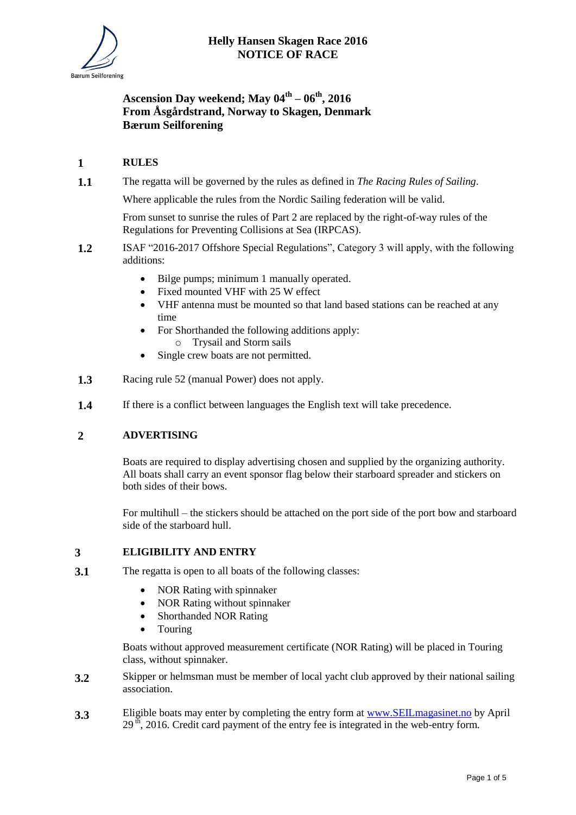# **Ascension Day weekend; May 04th – 06th, 2016 From Åsgårdstrand, Norway to Skagen, Denmark Bærum Seilforening**

## **1 RULES**

**1.1** The regatta will be governed by the rules as defined in *The Racing Rules of Sailing*.

Where applicable the rules from the Nordic Sailing federation will be valid.

From sunset to sunrise the rules of Part 2 are replaced by the right-of-way rules of the Regulations for Preventing Collisions at Sea (IRPCAS).

- **1.2** ISAF "2016-2017 Offshore Special Regulations", Category 3 will apply, with the following additions:
	- Bilge pumps; minimum 1 manually operated.
	- Fixed mounted VHF with 25 W effect
	- VHF antenna must be mounted so that land based stations can be reached at any time
	- For Shorthanded the following additions apply: o Trysail and Storm sails
	- Single crew boats are not permitted.
- **1.3** Racing rule 52 (manual Power) does not apply.
- **1.4** If there is a conflict between languages the English text will take precedence.

## **2 ADVERTISING**

Boats are required to display advertising chosen and supplied by the organizing authority. All boats shall carry an event sponsor flag below their starboard spreader and stickers on both sides of their bows.

For multihull – the stickers should be attached on the port side of the port bow and starboard side of the starboard hull.

#### **3 ELIGIBILITY AND ENTRY**

- **3.1** The regatta is open to all boats of the following classes:
	- NOR Rating with spinnaker
	- NOR Rating without spinnaker
	- Shorthanded NOR Rating
	- Touring

Boats without approved measurement certificate (NOR Rating) will be placed in Touring class, without spinnaker.

- **3.2** Skipper or helmsman must be member of local yacht club approved by their national sailing association.
- **3.3** Eligible boats may enter by completing the entry form at www.SEIL magasinet.no by April  $29<sup>th</sup>$ , 2016. Credit card payment of the entry fee is integrated in the web-entry form.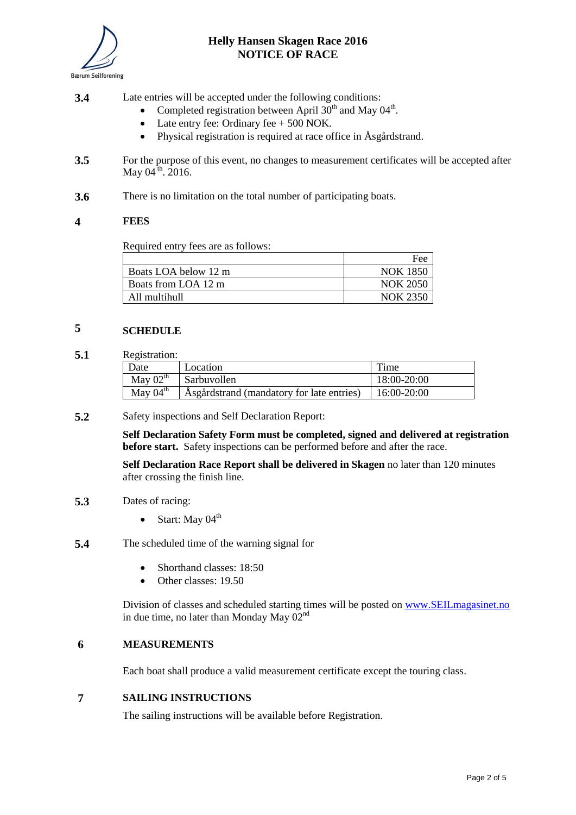

## **Helly Hansen Skagen Race 2016 NOTICE OF RACE**

- **3.4** Late entries will be accepted under the following conditions:
	- Completed registration between April  $30<sup>th</sup>$  and May  $04<sup>th</sup>$ .
	- Late entry fee: Ordinary fee  $+ 500$  NOK.
	- Physical registration is required at race office in Åsgårdstrand.
- **3.5** For the purpose of this event, no changes to measurement certificates will be accepted after May  $04^{\text{th}}$ . 2016.
- **3.6** There is no limitation on the total number of participating boats.

#### **4 FEES**

Required entry fees are as follows:

|                      | Fee             |
|----------------------|-----------------|
| Boats LOA below 12 m | <b>NOK 1850</b> |
| Boats from LOA 12 m  | <b>NOK 2050</b> |
| All multihull        | <b>NOK 2350</b> |

## **5 SCHEDULE**

**5.1** Registration:

| Date                 | Location                                                  | Time        |
|----------------------|-----------------------------------------------------------|-------------|
| May $02^{\text{th}}$ | Sarbuvollen                                               | 18:00-20:00 |
| May $04^{\text{th}}$ | Asgårdstrand (mandatory for late entries)   $16:00-20:00$ |             |

**5.2** Safety inspections and Self Declaration Report:

**Self Declaration Safety Form must be completed, signed and delivered at registration before start.** Safety inspections can be performed before and after the race.

**Self Declaration Race Report shall be delivered in Skagen** no later than 120 minutes after crossing the finish line.

- **5.3** Dates of racing:
	- $\bullet$  Start: May 04<sup>th</sup>
- **5.4** The scheduled time of the warning signal for
	- Shorthand classes: 18:50
	- Other classes: 19.50

Division of classes and scheduled starting times will be posted on [www.SEILmagasinet.no](http://www.seilmagasinet.no/) in due time, no later than Monday May  $02<sup>nd</sup>$ 

#### **6 MEASUREMENTS**

Each boat shall produce a valid measurement certificate except the touring class.

## **7 SAILING INSTRUCTIONS**

The sailing instructions will be available before Registration.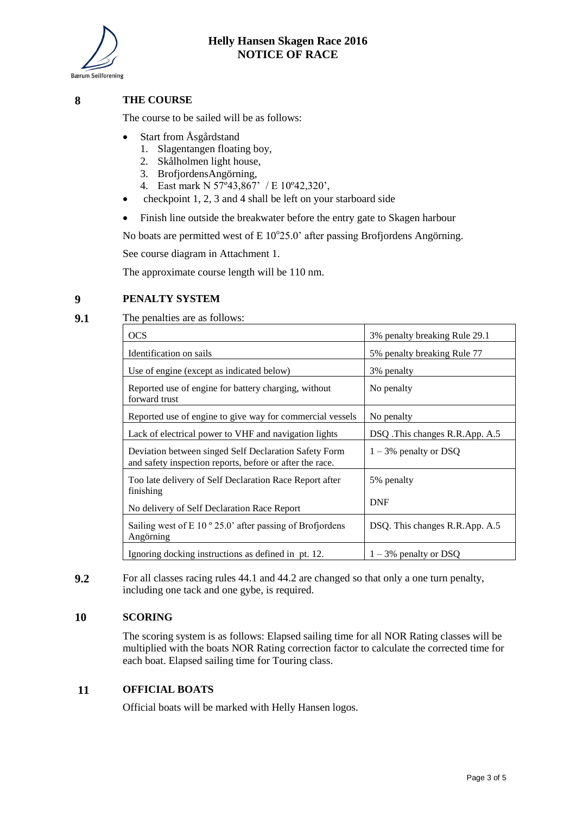

## **8 THE COURSE**

The course to be sailed will be as follows:

- Start from Åsgårdstand
	- 1. Slagentangen floating boy,
	- 2. Skålholmen light house,
	- 3. BrofjordensAngörning,
	- 4. East mark N 57º43,867' / E 10º42,320',
- checkpoint 1, 2, 3 and 4 shall be left on your starboard side
- Finish line outside the breakwater before the entry gate to Skagen harbour

No boats are permitted west of  $E 10^{\circ}25.0$ ' after passing Brofjordens Angörning.

See course diagram in Attachment 1.

The approximate course length will be 110 nm.

## **9 PENALTY SYSTEM**

**9.1** The penalties are as follows:

| <b>OCS</b>                                                                                                        | 3% penalty breaking Rule 29.1  |
|-------------------------------------------------------------------------------------------------------------------|--------------------------------|
| Identification on sails                                                                                           | 5% penalty breaking Rule 77    |
| Use of engine (except as indicated below)                                                                         | 3% penalty                     |
| Reported use of engine for battery charging, without<br>forward trust                                             | No penalty                     |
| Reported use of engine to give way for commercial vessels                                                         | No penalty                     |
| Lack of electrical power to VHF and navigation lights                                                             | DSQ. This changes R.R.App. A.5 |
| Deviation between singed Self Declaration Safety Form<br>and safety inspection reports, before or after the race. | $1 - 3\%$ penalty or DSQ       |
| Too late delivery of Self Declaration Race Report after                                                           | 5% penalty                     |
| finishing<br>No delivery of Self Declaration Race Report                                                          | <b>DNF</b>                     |
| Sailing west of E 10 $\degree$ 25.0' after passing of Brofjordens<br>Angörning                                    | DSQ. This changes R.R.App. A.5 |
| Ignoring docking instructions as defined in pt. 12.                                                               | $1 - 3\%$ penalty or DSQ       |

**9.2** For all classes racing rules 44.1 and 44.2 are changed so that only a one turn penalty, including one tack and one gybe, is required.

#### **10 SCORING**

The scoring system is as follows: Elapsed sailing time for all NOR Rating classes will be multiplied with the boats NOR Rating correction factor to calculate the corrected time for each boat. Elapsed sailing time for Touring class.

#### **11 OFFICIAL BOATS**

Official boats will be marked with Helly Hansen logos.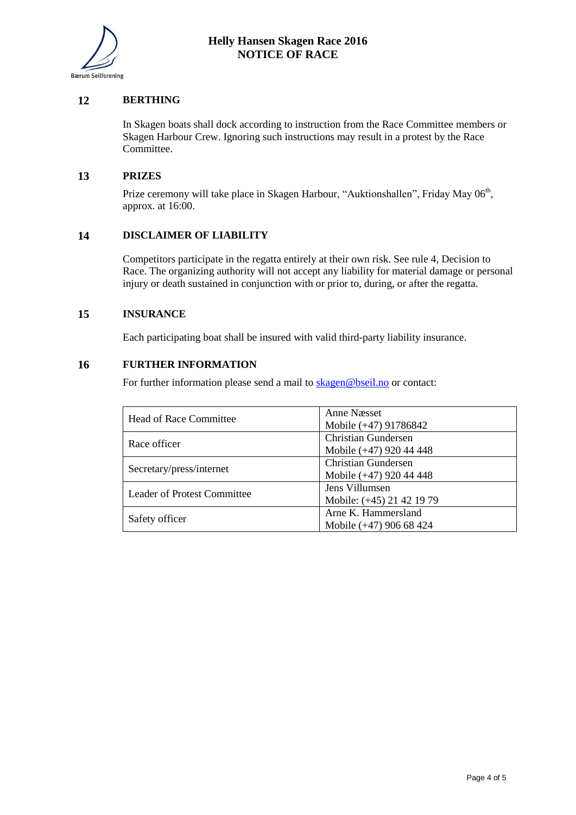

## **12 BERTHING**

In Skagen boats shall dock according to instruction from the Race Committee members or Skagen Harbour Crew. Ignoring such instructions may result in a protest by the Race Committee.

#### **13 PRIZES**

Prize ceremony will take place in Skagen Harbour, "Auktionshallen", Friday May 06<sup>th</sup>, approx. at 16:00.

#### **14 DISCLAIMER OF LIABILITY**

Competitors participate in the regatta entirely at their own risk. See rule 4, Decision to Race. The organizing authority will not accept any liability for material damage or personal injury or death sustained in conjunction with or prior to, during, or after the regatta.

## **15 INSURANCE**

Each participating boat shall be insured with valid third-party liability insurance.

### **16 FURTHER INFORMATION**

For further information please send a mail to [skagen@bseil.no](mailto:skagen@bseil.no) or contact:

| <b>Head of Race Committee</b>      | Anne Næsset<br>Mobile (+47) 91786842                  |
|------------------------------------|-------------------------------------------------------|
| Race officer                       | <b>Christian Gundersen</b><br>Mobile (+47) 920 44 448 |
| Secretary/press/internet           | <b>Christian Gundersen</b><br>Mobile (+47) 920 44 448 |
| <b>Leader of Protest Committee</b> | Jens Villumsen<br>Mobile: (+45) 21 42 19 79           |
| Safety officer                     | Arne K. Hammersland<br>Mobile (+47) 906 68 424        |